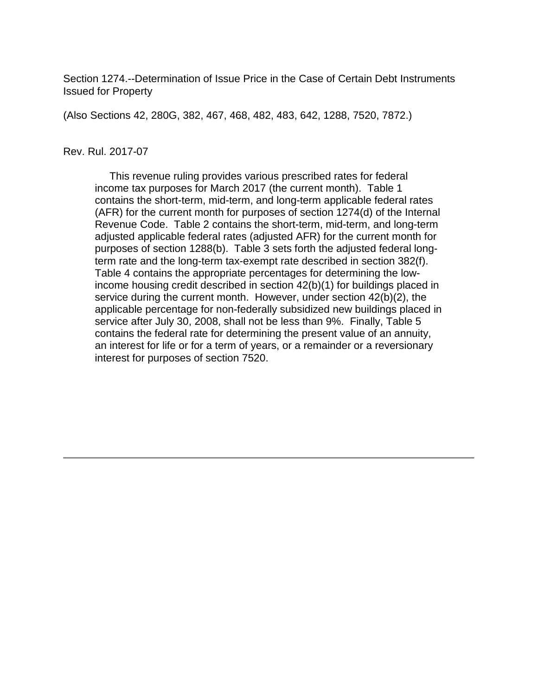Section 1274.--Determination of Issue Price in the Case of Certain Debt Instruments Issued for Property

(Also Sections 42, 280G, 382, 467, 468, 482, 483, 642, 1288, 7520, 7872.)

#### Rev. Rul. 2017-07

 This revenue ruling provides various prescribed rates for federal income tax purposes for March 2017 (the current month). Table 1 contains the short-term, mid-term, and long-term applicable federal rates (AFR) for the current month for purposes of section 1274(d) of the Internal Revenue Code. Table 2 contains the short-term, mid-term, and long-term adjusted applicable federal rates (adjusted AFR) for the current month for purposes of section 1288(b). Table 3 sets forth the adjusted federal longterm rate and the long-term tax-exempt rate described in section 382(f). Table 4 contains the appropriate percentages for determining the lowincome housing credit described in section 42(b)(1) for buildings placed in service during the current month. However, under section 42(b)(2), the applicable percentage for non-federally subsidized new buildings placed in service after July 30, 2008, shall not be less than 9%. Finally, Table 5 contains the federal rate for determining the present value of an annuity, an interest for life or for a term of years, or a remainder or a reversionary interest for purposes of section 7520.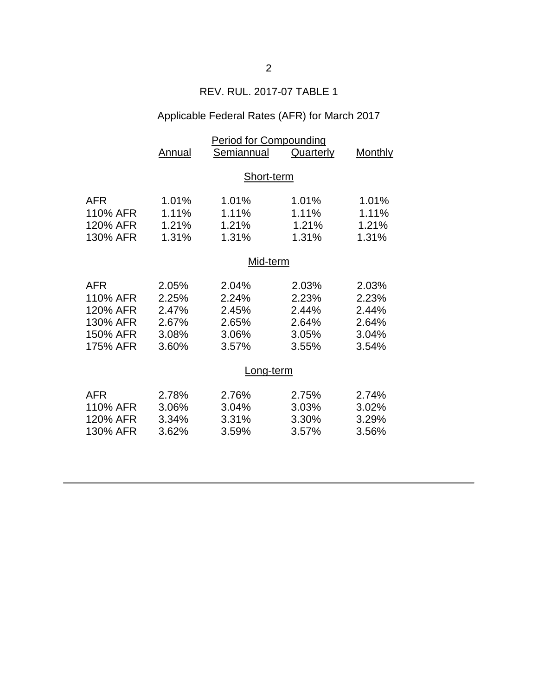# REV. RUL. 2017-07 TABLE 1

## Applicable Federal Rates (AFR) for March 2017

|            | <b>Period for Compounding</b> |            |           |         |  |
|------------|-------------------------------|------------|-----------|---------|--|
|            | Annual                        | Semiannual | Quarterly | Monthly |  |
|            |                               |            |           |         |  |
|            | Short-term                    |            |           |         |  |
|            |                               |            |           |         |  |
| <b>AFR</b> | 1.01%                         | 1.01%      | 1.01%     | 1.01%   |  |
| 110% AFR   | 1.11%                         | 1.11%      | 1.11%     | 1.11%   |  |
| 120% AFR   | 1.21%                         | 1.21%      | 1.21%     | 1.21%   |  |
| 130% AFR   | 1.31%                         | 1.31%      | 1.31%     | 1.31%   |  |
|            |                               |            |           |         |  |
|            | Mid-term                      |            |           |         |  |
| <b>AFR</b> | 2.05%                         | 2.04%      | 2.03%     | 2.03%   |  |
| 110% AFR   | 2.25%                         | 2.24%      | 2.23%     | 2.23%   |  |
| 120% AFR   | 2.47%                         | 2.45%      | 2.44%     | 2.44%   |  |
| 130% AFR   | 2.67%                         | 2.65%      | 2.64%     | 2.64%   |  |
| 150% AFR   | 3.08%                         | 3.06%      | 3.05%     | 3.04%   |  |
| 175% AFR   | 3.60%                         | 3.57%      | 3.55%     | 3.54%   |  |
|            |                               |            |           |         |  |
|            | <u>Long-term</u>              |            |           |         |  |
| <b>AFR</b> | 2.78%                         | 2.76%      | 2.75%     | 2.74%   |  |
| 110% AFR   | 3.06%                         | 3.04%      | 3.03%     | 3.02%   |  |
| 120% AFR   | 3.34%                         | 3.31%      | 3.30%     | 3.29%   |  |
| 130% AFR   | 3.62%                         | 3.59%      | 3.57%     | 3.56%   |  |
|            |                               |            |           |         |  |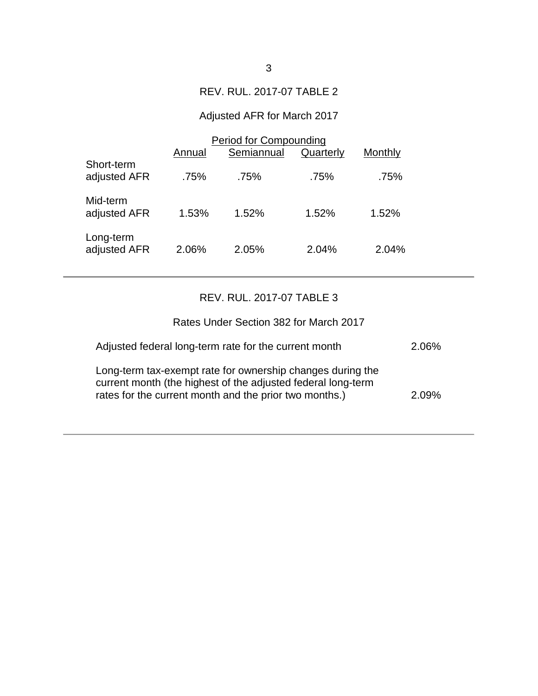### REV. RUL. 2017-07 TABLE 2

## Adjusted AFR for March 2017

|                            | <b>Period for Compounding</b> |            |           |         |  |
|----------------------------|-------------------------------|------------|-----------|---------|--|
|                            | Annual                        | Semiannual | Quarterly | Monthly |  |
| Short-term<br>adjusted AFR | .75%                          | .75%       | .75%      | .75%    |  |
| Mid-term<br>adjusted AFR   | 1.53%                         | 1.52%      | 1.52%     | 1.52%   |  |
| Long-term<br>adjusted AFR  | 2.06%                         | 2.05%      | 2.04%     | 2.04%   |  |

### REV. RUL. 2017-07 TABLE 3

| Rates Under Section 382 for March 2017                                                                                                                                               |       |
|--------------------------------------------------------------------------------------------------------------------------------------------------------------------------------------|-------|
| Adjusted federal long-term rate for the current month                                                                                                                                | 2.06% |
| Long-term tax-exempt rate for ownership changes during the<br>current month (the highest of the adjusted federal long-term<br>rates for the current month and the prior two months.) | 2.09% |